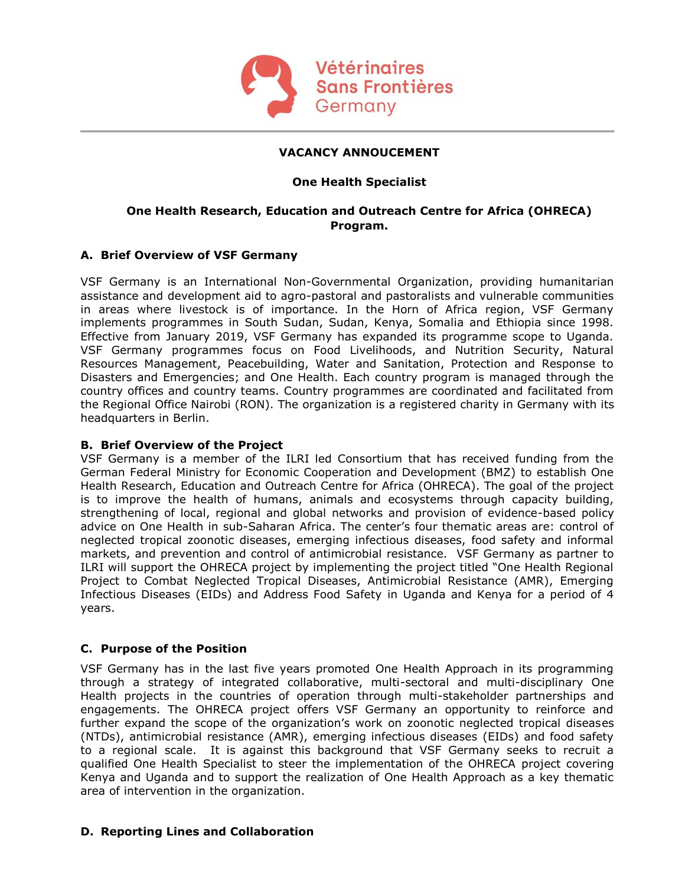

## **VACANCY ANNOUCEMENT**

## **One Health Specialist**

## **One Health Research, Education and Outreach Centre for Africa (OHRECA) Program.**

## **A. Brief Overview of VSF Germany**

VSF Germany is an International Non-Governmental Organization, providing humanitarian assistance and development aid to agro-pastoral and pastoralists and vulnerable communities in areas where livestock is of importance. In the Horn of Africa region, VSF Germany implements programmes in South Sudan, Sudan, Kenya, Somalia and Ethiopia since 1998. Effective from January 2019, VSF Germany has expanded its programme scope to Uganda. VSF Germany programmes focus on Food Livelihoods, and Nutrition Security, Natural Resources Management, Peacebuilding, Water and Sanitation, Protection and Response to Disasters and Emergencies; and One Health. Each country program is managed through the country offices and country teams. Country programmes are coordinated and facilitated from the Regional Office Nairobi (RON). The organization is a registered charity in Germany with its headquarters in Berlin.

## **B. Brief Overview of the Project**

VSF Germany is a member of the ILRI led Consortium that has received funding from the German Federal Ministry for Economic Cooperation and Development (BMZ) to establish One Health Research, Education and Outreach Centre for Africa (OHRECA). The goal of the project is to improve the health of humans, animals and ecosystems through capacity building, strengthening of local, regional and global networks and provision of evidence-based policy advice on One Health in sub-Saharan Africa. The center's four thematic areas are: control of neglected tropical zoonotic diseases, emerging infectious diseases, food safety and informal markets, and prevention and control of antimicrobial resistance. VSF Germany as partner to ILRI will support the OHRECA project by implementing the project titled "One Health Regional Project to Combat Neglected Tropical Diseases, Antimicrobial Resistance (AMR), Emerging Infectious Diseases (EIDs) and Address Food Safety in Uganda and Kenya for a period of 4 years.

## **C. Purpose of the Position**

VSF Germany has in the last five years promoted One Health Approach in its programming through a strategy of integrated collaborative, multi-sectoral and multi-disciplinary One Health projects in the countries of operation through multi-stakeholder partnerships and engagements. The OHRECA project offers VSF Germany an opportunity to reinforce and further expand the scope of the organization's work on zoonotic neglected tropical diseases (NTDs), antimicrobial resistance (AMR), emerging infectious diseases (EIDs) and food safety to a regional scale. It is against this background that VSF Germany seeks to recruit a qualified One Health Specialist to steer the implementation of the OHRECA project covering Kenya and Uganda and to support the realization of One Health Approach as a key thematic area of intervention in the organization.

#### **D. Reporting Lines and Collaboration**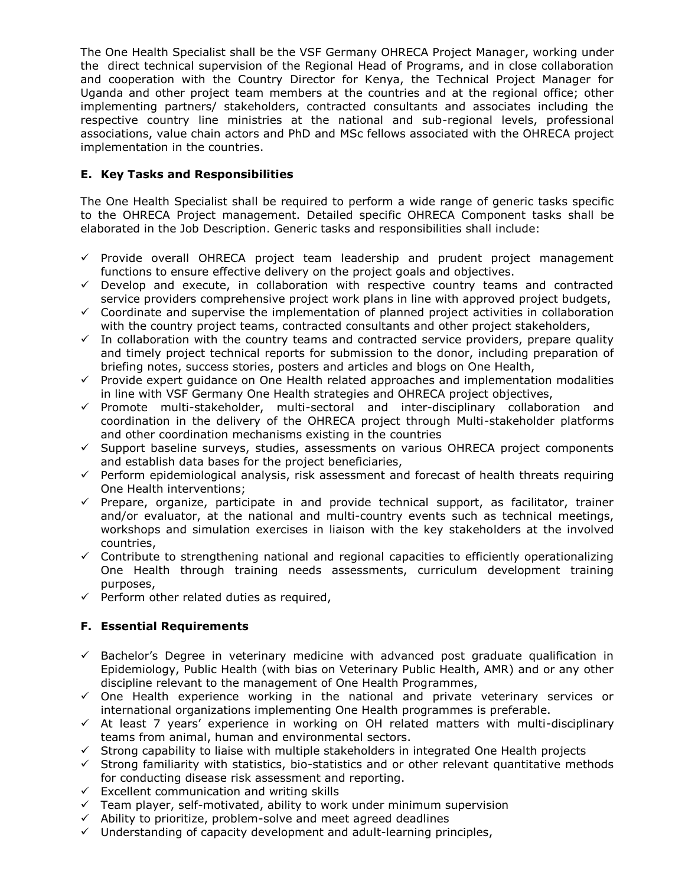The One Health Specialist shall be the VSF Germany OHRECA Project Manager, working under the direct technical supervision of the Regional Head of Programs, and in close collaboration and cooperation with the Country Director for Kenya, the Technical Project Manager for Uganda and other project team members at the countries and at the regional office; other implementing partners/ stakeholders, contracted consultants and associates including the respective country line ministries at the national and sub-regional levels, professional associations, value chain actors and PhD and MSc fellows associated with the OHRECA project implementation in the countries.

# **E. Key Tasks and Responsibilities**

The One Health Specialist shall be required to perform a wide range of generic tasks specific to the OHRECA Project management. Detailed specific OHRECA Component tasks shall be elaborated in the Job Description. Generic tasks and responsibilities shall include:

- ✓ Provide overall OHRECA project team leadership and prudent project management functions to ensure effective delivery on the project goals and objectives.
- $\checkmark$  Develop and execute, in collaboration with respective country teams and contracted service providers comprehensive project work plans in line with approved project budgets,
- $\checkmark$  Coordinate and supervise the implementation of planned project activities in collaboration with the country project teams, contracted consultants and other project stakeholders,
- $\checkmark$  In collaboration with the country teams and contracted service providers, prepare quality and timely project technical reports for submission to the donor, including preparation of briefing notes, success stories, posters and articles and blogs on One Health,
- $\checkmark$  Provide expert quidance on One Health related approaches and implementation modalities in line with VSF Germany One Health strategies and OHRECA project objectives,
- ✓ Promote multi-stakeholder, multi-sectoral and inter-disciplinary collaboration and coordination in the delivery of the OHRECA project through Multi-stakeholder platforms and other coordination mechanisms existing in the countries
- $\checkmark$  Support baseline surveys, studies, assessments on various OHRECA project components and establish data bases for the project beneficiaries,
- ✓ Perform epidemiological analysis, risk assessment and forecast of health threats requiring One Health interventions;
- $\checkmark$  Prepare, organize, participate in and provide technical support, as facilitator, trainer and/or evaluator, at the national and multi-country events such as technical meetings, workshops and simulation exercises in liaison with the key stakeholders at the involved countries,
- $\checkmark$  Contribute to strengthening national and regional capacities to efficiently operationalizing One Health through training needs assessments, curriculum development training purposes,
- $\checkmark$  Perform other related duties as required,

# **F. Essential Requirements**

- $\checkmark$  Bachelor's Degree in veterinary medicine with advanced post graduate qualification in Epidemiology, Public Health (with bias on Veterinary Public Health, AMR) and or any other discipline relevant to the management of One Health Programmes,
- $\checkmark$  One Health experience working in the national and private veterinary services or international organizations implementing One Health programmes is preferable.
- $\checkmark$  At least 7 years' experience in working on OH related matters with multi-disciplinary teams from animal, human and environmental sectors.
- ✓ Strong capability to liaise with multiple stakeholders in integrated One Health projects
- $\checkmark$  Strong familiarity with statistics, bio-statistics and or other relevant quantitative methods for conducting disease risk assessment and reporting.
- $\checkmark$  Excellent communication and writing skills
- $\checkmark$  Team player, self-motivated, ability to work under minimum supervision
- ✓ Ability to prioritize, problem-solve and meet agreed deadlines
- $\checkmark$  Understanding of capacity development and adult-learning principles,